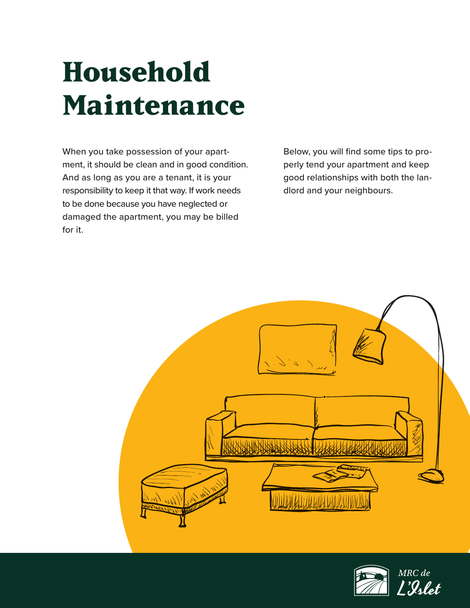# **Household Maintenance**

When you take possession of your apartment, it should be clean and in good condition. And as long as you are a tenant, it is your responsibility to keep it that way. If work needs to be done because you have neglected or damaged the apartment, you may be billed for it.

Below, you will find some tips to properly tend your apartment and keep good relationships with both the landlord and your neighbours.



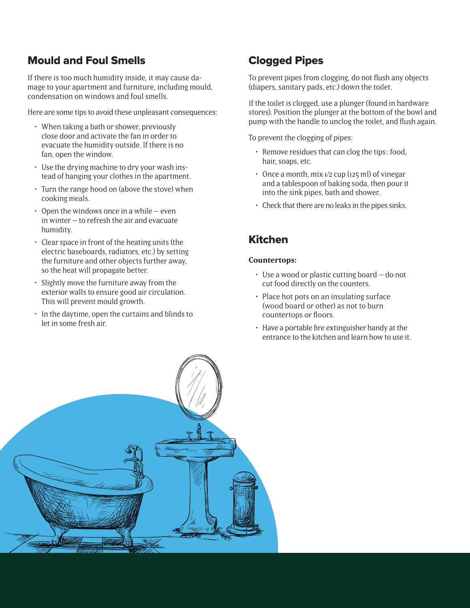## Mould and Foul Smells

If there is too much humidity inside, it may cause damage to your apartment and furniture, including mould, condensation on windows and foul smells.

Here are some tips to avoid these unpleasant consequences:

- When taking a bath or shower, previously close door and activate the fan in order to evacuate the humidity outside. If there is no fan, open the window.
- Use the drying machine to dry your wash instead of hanging your clothes in the apartment.
- Turn the range hood on (above the stove) when cooking meals.
- Open the windows once in a while even in winter – to refresh the air and evacuate humidity.
- Clear space in front of the heating units (the electric baseboards, radiators, etc.) by setting the furniture and other objects further away, so the heat will propagate better.
- Slightly move the furniture away from the exterior walls to ensure good air circulation. This will prevent mould growth.
- In the daytime, open the curtains and blinds to let in some fresh air.

## Clogged Pipes

To prevent pipes from clogging, do not flush any objects (diapers, sanitary pads, etc.) down the toilet.

If the toilet is clogged, use a plunger (found in hardware stores). Position the plunger at the bottom of the bowl and pump with the handle to unclog the toilet, and flush again.

To prevent the clogging of pipes:

- Remove residues that can clog the tips : food, hair, soaps, etc.
- $\cdot$  Once a month, mix  $1/2$  cup ( $125$  ml) of vinegar and a tablespoon of baking soda, then pour it into the sink pipes, bath and shower.
- Check that there are no leaks in the pipes sinks.

## Kitchen

#### **Countertops:**

- Use a wood or plastic cutting board do not cut food directly on the counters.
- Place hot pots on an insulating surface (wood board or other) as not to burn countertops or floors.
- Have a portable fire extinguisher handy at the entrance to the kitchen and learn how to use it.